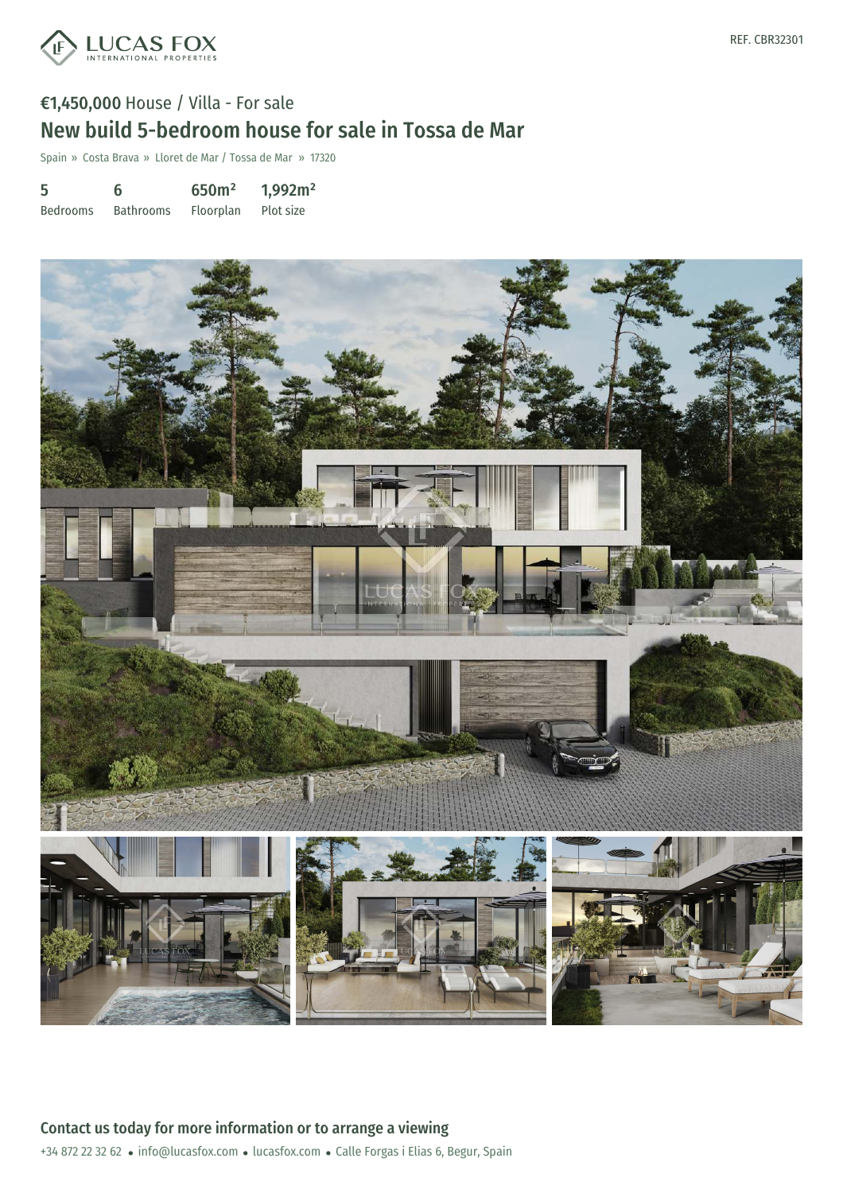

## €1,450,000 House / Villa - For sale New build 5-bedroom house for sale in Tossa de Mar

Spain » Costa Brava » Lloret de Mar / Tossa de Mar » 17320

| 5               | 6                | 650m <sup>2</sup> | 1,992m <sup>2</sup> |
|-----------------|------------------|-------------------|---------------------|
| <b>Bedrooms</b> | <b>Bathrooms</b> | Floorplan         | Plot size           |

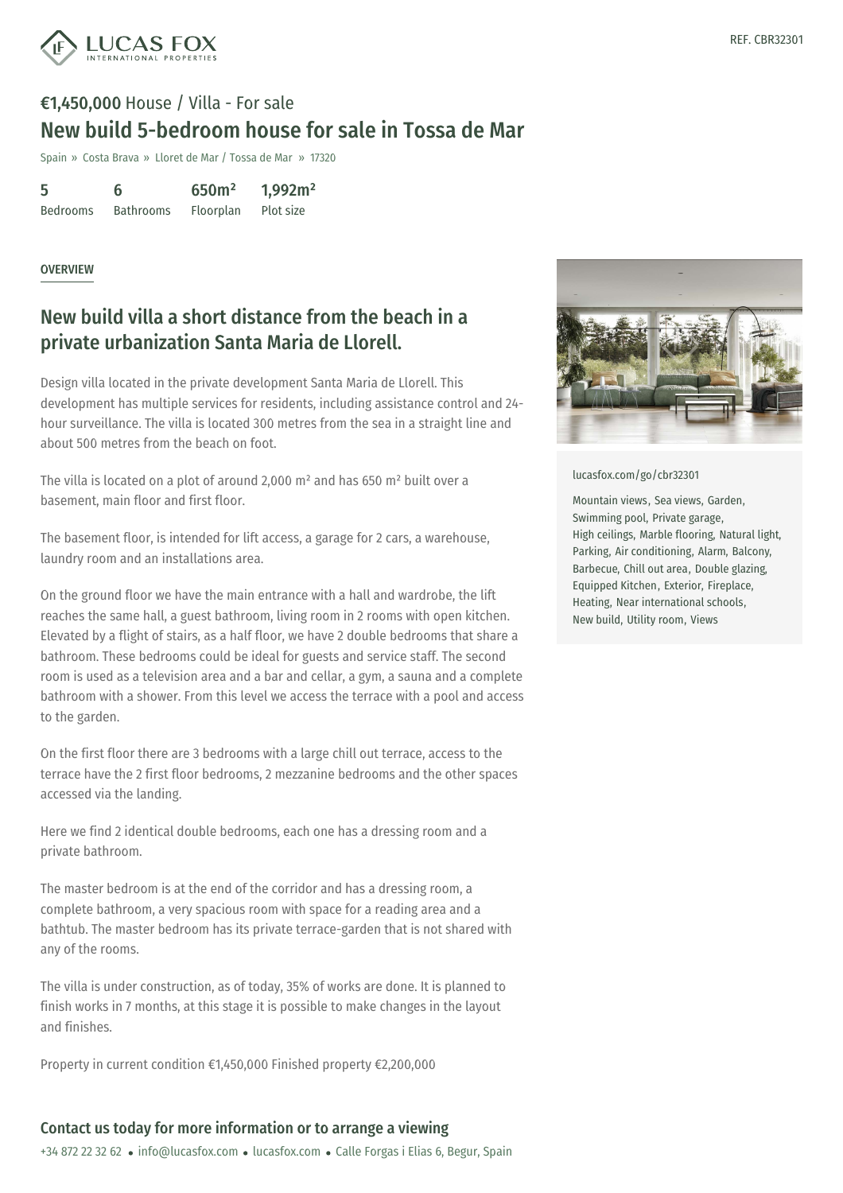

## €1,450,000 House / Villa - For sale New build 5-bedroom house for sale in Tossa de Mar

Spain » Costa Brava » Lloret de Mar / Tossa de Mar » 17320

| 5               | 6                | 650m <sup>2</sup> | 1,992m <sup>2</sup> |
|-----------------|------------------|-------------------|---------------------|
| <b>Bedrooms</b> | <b>Bathrooms</b> | Floorplan         | Plot size           |

#### **OVERVIEW**

### New build villa a short distance from the beach in a private urbanization Santa Maria de Llorell.

Design villa located in the private development Santa Maria de Llorell. This development has multiple services for residents, including assistance control and 24 hour surveillance. The villa is located 300 metres from the sea in a straight line and about 500 metres from the beach on foot.

The villa is located on a plot of around 2,000 m² and has 650 m² built over a basement, main floor and first floor.

The basement floor, is intended for lift access, a garage for 2 cars, a warehouse, laundry room and an installations area.

On the ground floor we have the main entrance with a hall and wardrobe, the lift reaches the same hall, a guest bathroom, living room in 2 rooms with open kitchen. Elevated by a flight of stairs, as a half floor, we have 2 double bedrooms that share a bathroom. These bedrooms could be ideal for guests and service staff. The second room is used as a television area and a bar and cellar, a gym, a sauna and a complete bathroom with a shower. From this level we access the terrace with a pool and access to the garden.

On the first floor there are 3 bedrooms with a large chill out terrace, access to the terrace have the 2 first floor bedrooms, 2 mezzanine bedrooms and the other spaces accessed via the landing.

Here we find 2 identical double bedrooms, each one has a dressing room and a private bathroom.

The master bedroom is at the [end](mailto:info@lucasfox.com) of the [corridor](https://www.lucasfox.com) and has a dressing room, a complete bathroom, a very spacious room with space for a reading area and a bathtub. The master bedroom has its private terrace-garden that is not shared with any of the rooms.

The villa is under construction, as of today, 35% of works are done. It is planned to finish works in 7 months, at this stage it is possible to make changes in the layout and finishes.

Property in current condition €1,450,000 Finished property €2,200,000

#### Contact us today for more information or to arrange a viewing

+34 872 22 32 62 · info@lucasfox.com · lucasfox.com · Calle Forgas i Elias 6, Begur, Spain



[lucasfox.com/go/cbr32301](https://www.lucasfox.com/go/cbr32301)

Mountain views, Sea views, Garden, Swimming pool, Private garage, High ceilings, Marble flooring, Natural light, Parking, Air conditioning, Alarm, Balcony, Barbecue, Chill out area, Double glazing, Equipped Kitchen, Exterior, Fireplace, Heating, Near international schools, New build, Utility room, Views